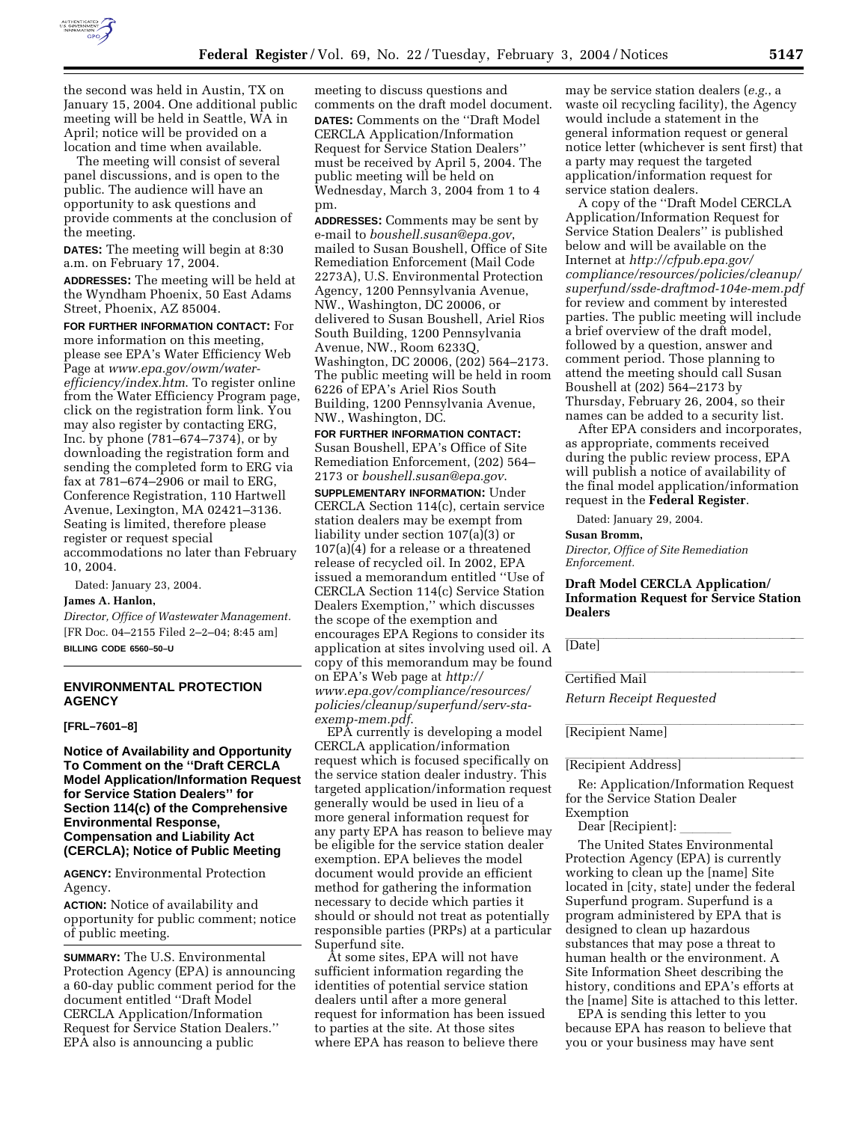

the second was held in Austin, TX on January 15, 2004. One additional public meeting will be held in Seattle, WA in April; notice will be provided on a location and time when available.

The meeting will consist of several panel discussions, and is open to the public. The audience will have an opportunity to ask questions and provide comments at the conclusion of the meeting.

**DATES:** The meeting will begin at 8:30 a.m. on February 17, 2004.

**ADDRESSES:** The meeting will be held at the Wyndham Phoenix, 50 East Adams Street, Phoenix, AZ 85004.

**FOR FURTHER INFORMATION CONTACT:** For more information on this meeting, please see EPA's Water Efficiency Web Page at *www.epa.gov/owm/waterefficiency/index.htm*. To register online from the Water Efficiency Program page, click on the registration form link. You may also register by contacting ERG, Inc. by phone (781–674–7374), or by downloading the registration form and sending the completed form to ERG via fax at 781–674–2906 or mail to ERG, Conference Registration, 110 Hartwell Avenue, Lexington, MA 02421–3136. Seating is limited, therefore please register or request special accommodations no later than February 10, 2004.

Dated: January 23, 2004.

### **James A. Hanlon,**

*Director, Office of Wastewater Management.* [FR Doc. 04–2155 Filed 2–2–04; 8:45 am] **BILLING CODE 6560–50–U**

### **ENVIRONMENTAL PROTECTION AGENCY**

#### **[FRL–7601–8]**

**Notice of Availability and Opportunity To Comment on the ''Draft CERCLA Model Application/Information Request for Service Station Dealers'' for Section 114(c) of the Comprehensive Environmental Response, Compensation and Liability Act (CERCLA); Notice of Public Meeting**

**AGENCY:** Environmental Protection Agency.

**ACTION:** Notice of availability and opportunity for public comment; notice of public meeting.

**SUMMARY:** The U.S. Environmental Protection Agency (EPA) is announcing a 60-day public comment period for the document entitled ''Draft Model CERCLA Application/Information Request for Service Station Dealers.'' EPA also is announcing a public

meeting to discuss questions and comments on the draft model document. **DATES:** Comments on the ''Draft Model CERCLA Application/Information Request for Service Station Dealers'' must be received by April 5, 2004. The public meeting will be held on Wednesday, March 3, 2004 from 1 to 4 pm.

**ADDRESSES:** Comments may be sent by e-mail to *boushell.susan@epa.gov*, mailed to Susan Boushell, Office of Site Remediation Enforcement (Mail Code 2273A), U.S. Environmental Protection Agency, 1200 Pennsylvania Avenue, NW., Washington, DC 20006, or delivered to Susan Boushell, Ariel Rios South Building, 1200 Pennsylvania Avenue, NW., Room 6233Q, Washington, DC 20006, (202) 564–2173. The public meeting will be held in room 6226 of EPA's Ariel Rios South Building, 1200 Pennsylvania Avenue, NW., Washington, DC.

**FOR FURTHER INFORMATION CONTACT:** Susan Boushell, EPA's Office of Site Remediation Enforcement, (202) 564– 2173 or *boushell.susan@epa.gov*. **SUPPLEMENTARY INFORMATION:** Under CERCLA Section 114(c), certain service station dealers may be exempt from liability under section 107(a)(3) or 107(a)(4) for a release or a threatened release of recycled oil. In 2002, EPA issued a memorandum entitled ''Use of CERCLA Section 114(c) Service Station Dealers Exemption,'' which discusses the scope of the exemption and encourages EPA Regions to consider its application at sites involving used oil. A copy of this memorandum may be found on EPA's Web page at *http:// www.epa.gov/compliance/resources/ policies/cleanup/superfund/serv-staexemp-mem.pdf*.

EPA currently is developing a model CERCLA application/information request which is focused specifically on the service station dealer industry. This targeted application/information request generally would be used in lieu of a more general information request for any party EPA has reason to believe may be eligible for the service station dealer exemption. EPA believes the model document would provide an efficient method for gathering the information necessary to decide which parties it should or should not treat as potentially responsible parties (PRPs) at a particular Superfund site.

At some sites, EPA will not have sufficient information regarding the identities of potential service station dealers until after a more general request for information has been issued to parties at the site. At those sites where EPA has reason to believe there

may be service station dealers (*e.g.*, a waste oil recycling facility), the Agency would include a statement in the general information request or general notice letter (whichever is sent first) that a party may request the targeted application/information request for service station dealers.

A copy of the ''Draft Model CERCLA Application/Information Request for Service Station Dealers'' is published below and will be available on the Internet at *http://cfpub.epa.gov/ compliance/resources/policies/cleanup/ superfund/ssde-draftmod-104e-mem.pdf* for review and comment by interested parties. The public meeting will include a brief overview of the draft model, followed by a question, answer and comment period. Those planning to attend the meeting should call Susan Boushell at (202) 564–2173 by Thursday, February 26, 2004, so their names can be added to a security list.

After EPA considers and incorporates, as appropriate, comments received during the public review process, EPA will publish a notice of availability of the final model application/information request in the **Federal Register**.

Dated: January 29, 2004.

### **Susan Bromm,**

*Director, Office of Site Remediation Enforcement.*

**Draft Model CERCLA Application/ Information Request for Service Station Dealers** 

[Date]

Lertified Mail

*Return Receipt Requested*

[Recipient Name]

# [Recipient Address]

Re: Application/Information Request for the Service Station Dealer Exemption

Dear [Recipient]:

The United States Environmental Protection Agency (EPA) is currently working to clean up the [name] Site located in [city, state] under the federal Superfund program. Superfund is a program administered by EPA that is designed to clean up hazardous substances that may pose a threat to human health or the environment. A Site Information Sheet describing the history, conditions and EPA's efforts at the [name] Site is attached to this letter.

EPA is sending this letter to you because EPA has reason to believe that you or your business may have sent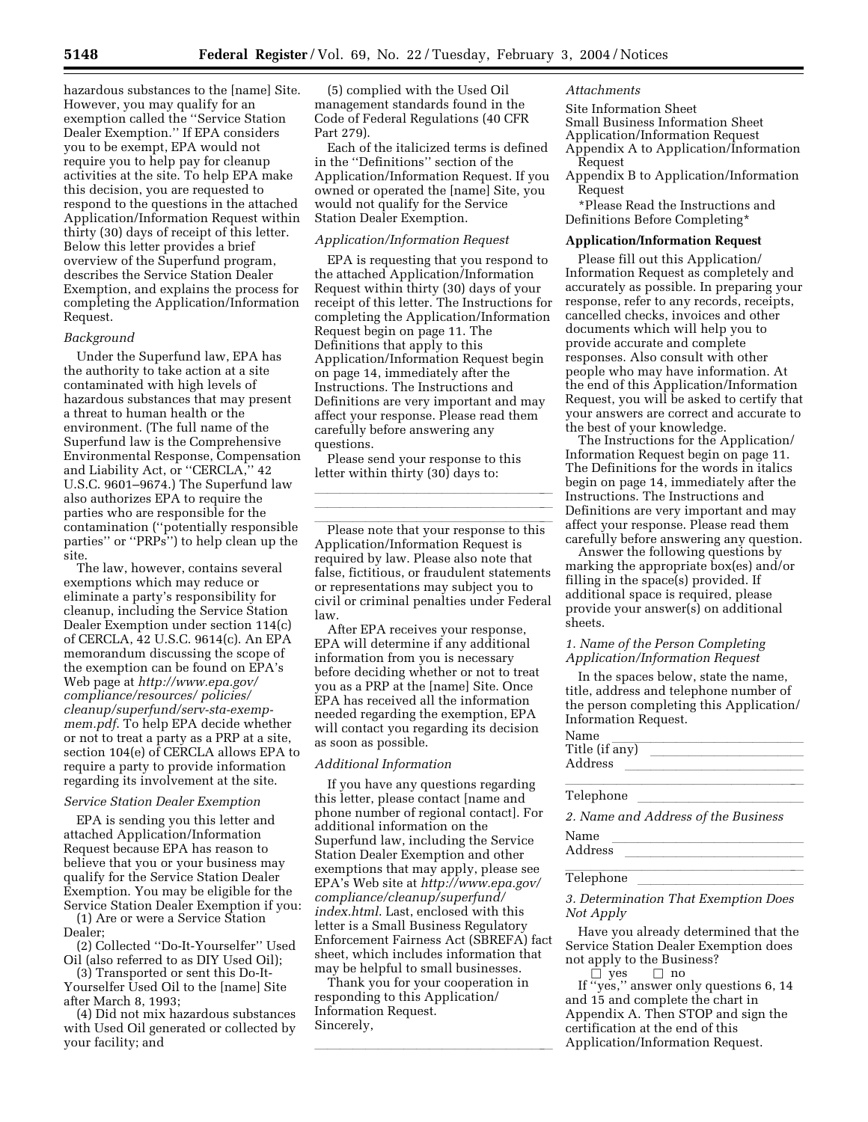hazardous substances to the [name] Site. However, you may qualify for an exemption called the ''Service Station Dealer Exemption.'' If EPA considers you to be exempt, EPA would not require you to help pay for cleanup activities at the site. To help EPA make this decision, you are requested to respond to the questions in the attached Application/Information Request within thirty (30) days of receipt of this letter. Below this letter provides a brief overview of the Superfund program, describes the Service Station Dealer Exemption, and explains the process for completing the Application/Information Request.

### *Background*

Under the Superfund law, EPA has the authority to take action at a site contaminated with high levels of hazardous substances that may present a threat to human health or the environment. (The full name of the Superfund law is the Comprehensive Environmental Response, Compensation and Liability Act, or ''CERCLA,'' 42 U.S.C. 9601–9674.) The Superfund law also authorizes EPA to require the parties who are responsible for the contamination (''potentially responsible parties'' or ''PRPs'') to help clean up the site.

The law, however, contains several exemptions which may reduce or eliminate a party's responsibility for cleanup, including the Service Station Dealer Exemption under section 114(c) of CERCLA, 42 U.S.C. 9614(c). An EPA memorandum discussing the scope of the exemption can be found on EPA's Web page at *http://www.epa.gov/ compliance/resources/ policies/ cleanup/superfund/serv-sta-exempmem.pdf*. To help EPA decide whether or not to treat a party as a PRP at a site, section 104(e) of CERCLA allows EPA to require a party to provide information regarding its involvement at the site.

### *Service Station Dealer Exemption*

EPA is sending you this letter and attached Application/Information Request because EPA has reason to believe that you or your business may qualify for the Service Station Dealer Exemption. You may be eligible for the Service Station Dealer Exemption if you:

(1) Are or were a Service Station Dealer;

(2) Collected ''Do-It-Yourselfer'' Used Oil (also referred to as DIY Used Oil);

(3) Transported or sent this Do-It-Yourselfer Used Oil to the [name] Site after March 8, 1993;

(4) Did not mix hazardous substances with Used Oil generated or collected by your facility; and

(5) complied with the Used Oil management standards found in the Code of Federal Regulations (40 CFR Part 279).

Each of the italicized terms is defined in the ''Definitions'' section of the Application/Information Request. If you owned or operated the [name] Site, you would not qualify for the Service Station Dealer Exemption.

### *Application/Information Request*

EPA is requesting that you respond to the attached Application/Information Request within thirty (30) days of your receipt of this letter. The Instructions for completing the Application/Information Request begin on page 11. The Definitions that apply to this Application/Information Request begin on page 14, immediately after the Instructions. The Instructions and Definitions are very important and may affect your response. Please read them carefully before answering any questions.

Please send your response to this letter within thirty (30) days to:

Please note that your response to this Application/Information Request is required by law. Please also note that false, fictitious, or fraudulent statements or representations may subject you to civil or criminal penalties under Federal law.

lla llight and all light and all light and all light and all light and all light and all light and all light a lla llight and the second control of the second control of the second control of the second control of the second

After EPA receives your response, EPA will determine if any additional information from you is necessary before deciding whether or not to treat you as a PRP at the [name] Site. Once EPA has received all the information needed regarding the exemption, EPA will contact you regarding its decision as soon as possible.

## *Additional Information*

If you have any questions regarding this letter, please contact [name and phone number of regional contact]. For additional information on the Superfund law, including the Service Station Dealer Exemption and other exemptions that may apply, please see EPA's Web site at *http://www.epa.gov/ compliance/cleanup/superfund/ index.html*. Last, enclosed with this letter is a Small Business Regulatory Enforcement Fairness Act (SBREFA) fact sheet, which includes information that may be helpful to small businesses.

Thank you for your cooperation in responding to this Application/ Information Request. Sincerely,

lla llight and the second control of the second control of the second control of the second control of the second

### *Attachments*

Site Information Sheet Small Business Information Sheet Application/Information Request Appendix A to Application/Information Request Appendix B to Application/Information

Request

\*Please Read the Instructions and Definitions Before Completing\*

#### **Application/Information Request**

Please fill out this Application/ Information Request as completely and accurately as possible. In preparing your response, refer to any records, receipts, cancelled checks, invoices and other documents which will help you to provide accurate and complete responses. Also consult with other people who may have information. At the end of this Application/Information Request, you will be asked to certify that your answers are correct and accurate to the best of your knowledge.

The Instructions for the Application/ Information Request begin on page 11. The Definitions for the words in italics begin on page 14, immediately after the Instructions. The Instructions and Definitions are very important and may affect your response. Please read them carefully before answering any question.

Answer the following questions by marking the appropriate box(es) and/or filling in the space(s) provided. If additional space is required, please provide your answer(s) on additional sheets.

### *1. Name of the Person Completing Application/Information Request*

In the spaces below, state the name, title, address and telephone number of the person completing this Application/ Information Request.

| Name           |  |  |
|----------------|--|--|
| Title (if any) |  |  |
| Address        |  |  |
|                |  |  |

| Telenhone<br><b>Telehmome</b> |   |               |  |  |
|-------------------------------|---|---------------|--|--|
|                               | . | $\sim$ $\sim$ |  |  |

*2. Name and Address of the Business* 

Name<br>Address Address llllllllllllll

Telephone <u>lateral library and the series of the series of the series of the series of the series of the series of the series of the series of the series of the series of the series of the series of the series of the serie</u>

*3. Determination That Exemption Does Not Apply* 

Have you already determined that the Service Station Dealer Exemption does not apply to the Business?

 $\Box$  yes  $\Box$  no<br>If ''yes,'' answer only questions 6, 14 and 15 and complete the chart in Appendix A. Then STOP and sign the certification at the end of this Application/Information Request.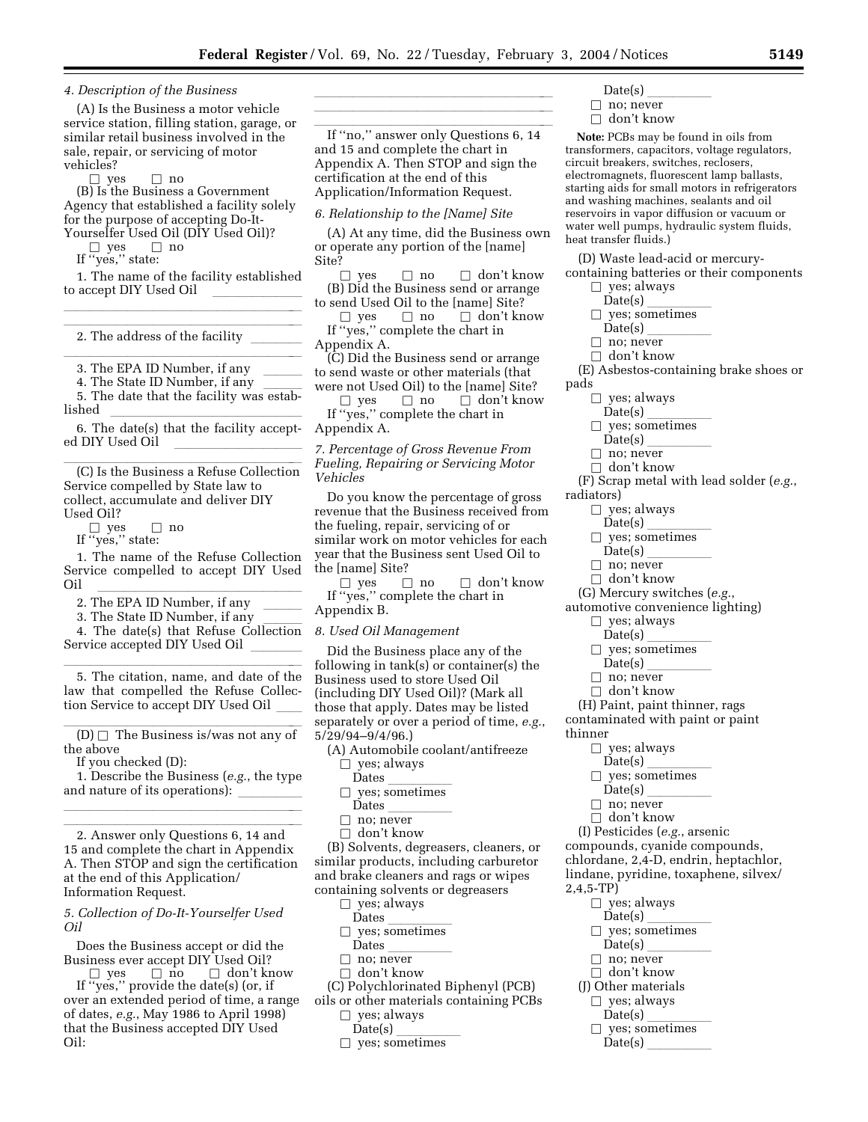lla llight and the second control of the second control of the second control of the second control of the second

*4. Description of the Business* 

(A) Is the Business a motor vehicle service station, filling station, garage, or similar retail business involved in the sale, repair, or servicing of motor vehicles?

 $\Box$  yes  $\Box$  no<br>(B) Is the Business a Government Agency that established a facility solely for the purpose of accepting Do-It-Yourselfer Used Oil (DIY Used Oil)?<br> $\square$  yes  $\square$  no

b yes b no If ''yes,'' state:

1. The name of the facility established to accept DIY Used Oil lla llight and the second control of the second control of the second control of the second control of the second

2. The address of the facility  $\hfill\blacksquare$ 

3. The EPA ID Number, if any <br>4. The State ID Number, if any 4. The State ID Number, if any

5. The date that the facility was estab-

lished  $\hspace{0.25cm}$  6. The date(s) that the facility accepted DIY Used Oil

(C) Is the Business a Refuse Collection Service compelled by State law to collect, accumulate and deliver DIY

Used Oil?<br> $\square$  yes

b yes b no If ''yes,'' state:

1. The name of the Refuse Collection Service compelled to accept DIY Used Oil llllllllllllllll

- 
- 2. The EPA ID Number, if any \_\_\_\_\_\_<br>3. The State ID Number, if any \_\_\_\_\_\_

3. The State ID Number, if any \_\_\_\_\_\_<br>4. The date(s) that Refuse Collection Service accepted DIY Used Oil

5. The citation, name, and date of the law that compelled the Refuse Collection Service to accept DIY Used Oil

(D)  $\Box$  The Business is/was not any of the above the above

If you checked (D):

1. Describe the Business (*e.g.*, the type and nature of its operations):  $\overline{\phantom{a}}$ 

lla llight and the second control of the second control of the second control of the second control of the second

2. Answer only Questions 6, 14 and 15 and complete the chart in Appendix A. Then STOP and sign the certification at the end of this Application/ Information Request.

*5. Collection of Do-It-Yourselfer Used Oil* 

Does the Business accept or did the Business ever accept DIY Used Oil?<br> $\square$  yes  $\square$  no  $\square$  don't know

b yes b no b don't know If ''yes,'' provide the date(s) (or, if over an extended period of time, a range of dates, *e.g.*, May 1986 to April 1998) that the Business accepted DIY Used Oil:

lla llight and all light and all light and all light and all light and all light and all light and all light a If "no," answer only Questions 6, 14 and 15 and complete the chart in Appendix A. Then STOP and sign the certification at the end of this

Application/Information Request. *6. Relationship to the [Name] Site* 

(A) At any time, did the Business own or operate any portion of the [name] Site?

 $\Box$  yes  $\Box$  no  $\Box$  don't know (B) Did the Business send or arrange

to send Used Oil to the [name] Site?<br>  $\square$  yes  $\square$  no  $\square$  don't know □ yes □ no □ don't know<br>If ''yes,'' complete the chart in Appendix A.

(C) Did the Business send or arrange to send waste or other materials (that were not Used Oil) to the [name] Site?

□ yes □ no □ don't know<br>If "yes," complete the chart in Appendix A.

*7. Percentage of Gross Revenue From Fueling, Repairing or Servicing Motor Vehicles* 

Do you know the percentage of gross revenue that the Business received from the fueling, repair, servicing of or similar work on motor vehicles for each year that the Business sent Used Oil to the [name] Site?

□ yes □ no □ don't know<br>If ''yes,'' complete the chart in Appendix B.

*8. Used Oil Management* 

Did the Business place any of the following in tank(s) or container(s) the Business used to store Used Oil (including DIY Used Oil)? (Mark all those that apply. Dates may be listed separately or over a period of time, *e.g.*, 5/29/94–9/4/96.)

- (A) Automobile coolant/antifreeze  $\square$  yes; always<br>Dates
	- Dates<br>ves: sometimes
	- $\square$  yes; sometimes<br>Dates
	- Dates \_\_\_\_\_\_\_\_\_\_\_<br>no: never
	- $\square$  no; never<br> $\square$  don't knoy  $\Box$  don't know

(B) Solvents, degreasers, cleaners, or similar products, including carburetor and brake cleaners and rags or wipes containing solvents or degreasers

 $\square$  yes; always<br>Dates

- 
- Dates<br>ves: sometimes  $\square$  yes; sometimes<br>Dates
- Dates \_\_\_\_\_\_\_\_\_\_\_<br>no: never
- □ no; never<br>□ don't kno
- $\Box$  don't know

(C) Polychlorinated Biphenyl (PCB) oils or other materials containing PCBs

- 
- $\square$  yes; always<br>Date(s)
- Date(s)  $\frac{1}{\text{Yes: sometimes}}$  $\Box$  yes; sometimes
- Date(s)  $\frac{\phantom{1}}{\phantom{1}}$  no: never
- $\Box$  no; never<br> $\Box$  don't know
- $\Box$  don't know

**Note:** PCBs may be found in oils from transformers, capacitors, voltage regulators, circuit breakers, switches, reclosers, electromagnets, fluorescent lamp ballasts, starting aids for small motors in refrigerators and washing machines, sealants and oil reservoirs in vapor diffusion or vacuum or water well pumps, hydraulic system fluids, heat transfer fluids.)

(D) Waste lead-acid or mercury-

- containing batteries or their components  $\Box$  yes; always<br>Date(s)
	-
	- Date(s) lllll  $\Box$  yes; sometimes<br>Date(s)
	-
	- Date(s)  $\frac{\phantom{1}}{\phantom{1}}$  no: never
	- $\Box$  no; never<br> $\Box$  don't knoy
- $\Box$  don't know<br>(E) Asbestos-containing brake shoes or pads
	-
	- $\Box$  yes; always<br>Date(s)
	- Date(s) lllll □ yes; sometimes<br>Date(s)
	-
	- Date(s) \_\_\_\_\_\_\_\_\_\_<br>| no: never
	- □ no; never<br>□ don't kno  $\Box$  don't know

(F) Scrap metal with lead solder (*e.g.*,

- radiators)
	- $\Box$  yes; always<br>Date(s)
		-
		- $\frac{Date(s)}{ves: sometimes}$  $\Box$  yes; sometimes<br>Date(s)
		- Date(s)  $\frac{\phantom{1}}{\phantom{1}}$  no: never
		- $\Box$  no; never<br> $\Box$  don't knoy
		- $\Box$  don't know
- (G) Mercury switches (*e.g.*,
- automotive convenience lighting)
	- $\square$  yes; always<br>Date(s)
	- Date(s) lllll
	- $\Box$  yes; sometimes<br>Date(s)
	- Date(s) \_\_\_\_\_\_\_\_\_\_<br>| no: never
	- $\Box$  no; never<br> $\Box$  don't know
	- $\Box$  don't know

(H) Paint, paint thinner, rags contaminated with paint or paint

thinner

2,4,5-TP)

- $\Box$  yes; always<br>Date(s)
- $\frac{Date(s)}{ves: sometimes}$
- $\square$  yes; sometimes<br>Date(s)
- Date(s) \_\_\_\_\_\_\_\_\_\_<br>| no: never
- $\Box$  no; never<br> $\Box$  don't know

 $\square$  yes; always<br>Date(s) Date(s) lllll  $\Box$  yes; sometimes<br>Date(s) Date(s)  $\frac{\phantom{1}}{\phantom{1}}$  no: never

 $\Box$  no; never<br> $\Box$  don't knoy  $\Box$  don't know (J) Other materials  $\Box$  yes; always<br>Date(s)  $\frac{Date(s)}{ves: sometimes}$  $\Box$  yes; sometimes<br>Date(s)  $\text{Date}(s)$ 

- $\Box$  don't know
- (I) Pesticides (*e.g.*, arsenic

compounds, cyanide compounds, chlordane, 2,4-D, endrin, heptachlor, lindane, pyridine, toxaphene, silvex/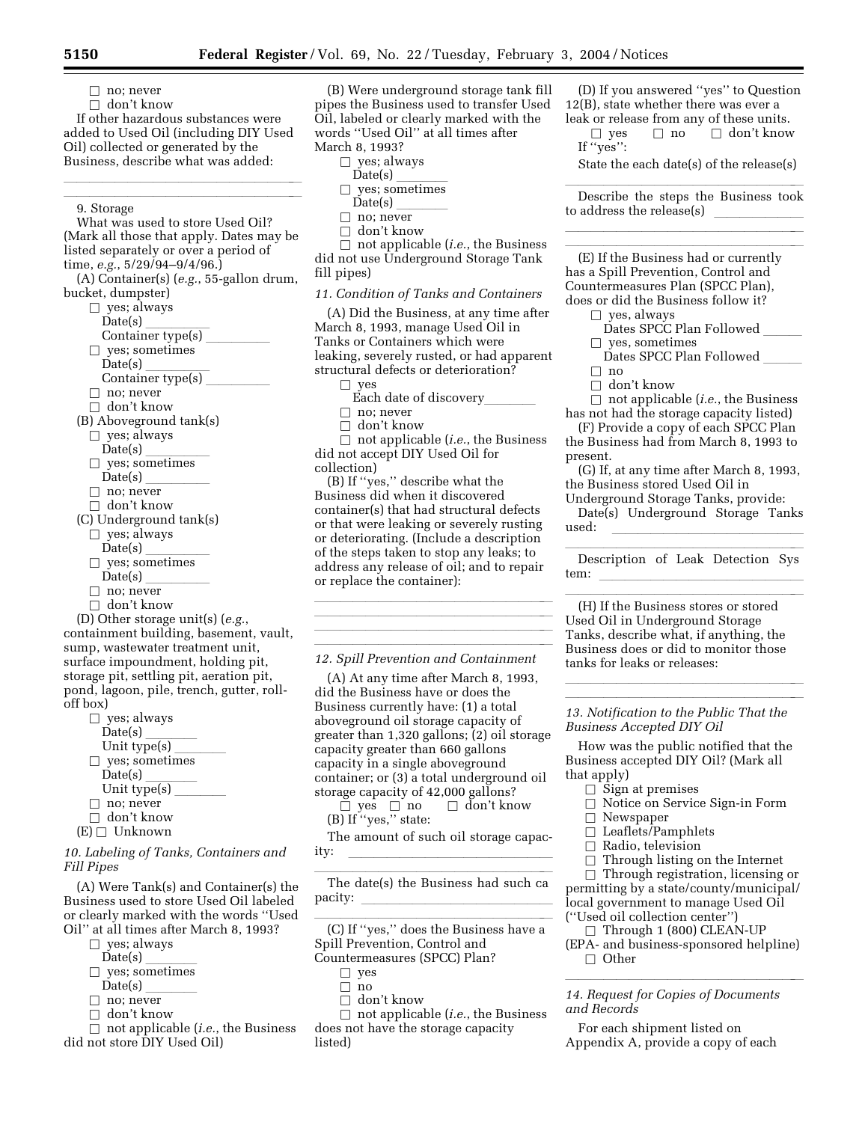$\Box$  no; never

 $\Box$  don't know

If other hazardous substances were added to Used Oil (including DIY Used Oil) collected or generated by the Business, describe what was added:

lla llight and the second control of the second control of the second control of the second control of the second

#### $\overline{\phantom{a}}$ 9. Storage

What was used to store Used Oil? (Mark all those that apply. Dates may be listed separately or over a period of time, *e.g.*, 5/29/94–9/4/96.)

(A) Container(s) (*e.g.*, 55-gallon drum, bucket, dumpster)

- $\Box$  yes; always<br>Date(s)
	- Date(s) lllll
	- Container type(s)  $\frac{\phantom{1}}{2}$
- 
- $\Box$  yes; sometimes<br>Date(s) Date(s) lllll
- Container type(s)  $\frac{\ }{\ }$
- $\Box$  no; never
- $\Box$  don't know
- (B) Aboveground tank(s)
	- $\Box$  yes; always<br>Date(s)
	- Date(s) lllll
	- $\Box$  yes; sometimes<br>Date(s)
	- $Date(s)$
	- $\Box$  no; never
	- $\Box$  don't know
- (C) Underground tank(s)
	- $\square$  yes; always<br>Date(s)
	-
	- Date(s)  $\frac{1}{\text{Ves: sometimes}}$  $\Box$  yes; sometimes<br>Date(s)
	- Date(s) \_\_\_\_\_\_\_\_\_\_<br>| no: never
	- $\Box$  no; never<br> $\Box$  don't know
	- $\Box$  don't know

(D) Other storage unit(s) (*e.g.*, containment building, basement, vault, sump, wastewater treatment unit, surface impoundment, holding pit, storage pit, settling pit, aeration pit, pond, lagoon, pile, trench, gutter, rolloff box)

| yes; always     |  |
|-----------------|--|
| Date(s)         |  |
| Unit type $(s)$ |  |
| yes; sometimes  |  |
| Date(s)         |  |
| Unit type(s)    |  |
| no; never       |  |
| don't know      |  |
| <b>IInknown</b> |  |

 $(E) \Box$  Unknown

*10. Labeling of Tanks, Containers and Fill Pipes* 

(A) Were Tank(s) and Container(s) the Business used to store Used Oil labeled or clearly marked with the words ''Used Oil'' at all times after March 8, 1993?

- 
- $\Box$  yes; always<br>Date(s)
- $Date(s)$ <br>ves: sometimes  $\Box$  yes; sometimes<br>Date(s)
- 
- Date(s) \_\_\_\_\_\_\_\_<br>no: never
- $\Box$  no; never<br> $\Box$  don't know □ don't know<br>□ not annlical
- b not applicable (*i.e.*, the Business did not store DIY Used Oil)

(B) Were underground storage tank fill pipes the Business used to transfer Used Oil, labeled or clearly marked with the words ''Used Oil'' at all times after March 8, 1993?

 $\square$  yes; always<br>Date(s)

- $Date(s)$ <br>ves: sometimes
- $\Box$  yes; sometimes<br>Date(s)
- Date(s)  $\frac{\overbrace{}}{\overbrace{}}$  no: never
- $\square$  no; never<br> $\square$  don't knoy
- $\Box$  don't know

 $\Box$  not applicable (*i.e.*, the Business did not use Underground Storage Tank fill pipes)

### *11. Condition of Tanks and Containers*

(A) Did the Business, at any time after March 8, 1993, manage Used Oil in Tanks or Containers which were leaking, severely rusted, or had apparent structural defects or deterioration?  $\square$  yes

Each date of discovery\_

- 
- $\Box$  no; never<br> $\Box$  don't know □ don't know<br>□ not annlical

□ not applicable (*i.e.*, the Business<br>not accent DIY Hsed Oil for did not accept DIY Used Oil for collection)

(B) If ''yes,'' describe what the Business did when it discovered container(s) that had structural defects or that were leaking or severely rusting or deteriorating. (Include a description of the steps taken to stop any leaks; to address any release of oil; and to repair or replace the container):

lla llight and the second control of the second control of the second control of the second control of the second llilla se al consegue de la consegue de la consegue de la consegue de la consegue de la consegue de la consegue<br>La consegue de la consegue de la consegue de la consegue de la consegue de la consegue de la consegue de la co *12. Spill Prevention and Containment* 

lla llight and the second control of the second control of the second control of the second control of the second lla llight and all light and all light and all light and all light and all light and all light and all light a

(A) At any time after March 8, 1993, did the Business have or does the Business currently have: (1) a total aboveground oil storage capacity of greater than 1,320 gallons; (2) oil storage capacity greater than 660 gallons capacity in a single aboveground container; or (3) a total underground oil storage capacity of 42,000 gallons?<br>  $\Box$  yes  $\Box$  no  $\Box$  don't know

b yes b no b don't know (B) If ''yes,'' state:

The amount of such oil storage capacity: llllllllllllllll

The date(s) the Business had such ca pacity:

(C) If "yes," does the Business have a Spill Prevention, Control and

Countermeasures (SPCC) Plan?

- $\square$  yes
- $\Box$ no
- $\Box$  don't know

 $\Box$  not applicable (*i.e.*, the Business does not have the storage capacity listed)

(D) If you answered ''yes'' to Question 12(B), state whether there was ever a leak or release from any of these units.

 $\Box$  yes  $\Box$  no  $\Box$  don't know If ''yes'':

State the each date(s) of the release(s)

Describe the steps the Business took to address the release(s)  $\overline{\phantom{a}}$ 

lla llight and the second control of the second control of the second control of the second control of the second

(E) If the Business had or currently has a Spill Prevention, Control and Countermeasures Plan (SPCC Plan), does or did the Business follow it?

- $\square$  yes, always
	- Dates SPCC Plan Followed
- $\square$  yes, sometimes
- Dates SPCC Plan Followed  $\Box$  $\Box$  no<br> $\Box$  dor
- 

□ don't know<br>□ not annlical  $\Box$  not applicable (*i.e.*, the Business has not had the storage capacity listed)

(F) Provide a copy of each SPCC Plan the Business had from March 8, 1993 to present.

(G) If, at any time after March 8, 1993, the Business stored Used Oil in

Underground Storage Tanks, provide: Date(s) Underground Storage Tanks used: lllllllllllllll

Description of Leak Detection Sys tem: llllllllllllllll

(H) If the Business stores or stored Used Oil in Underground Storage Tanks, describe what, if anything, the Business does or did to monitor those tanks for leaks or releases:

lllllulland and the state of the state of the state of the state of the state of the state of the state of the *13. Notification to the Public That the Business Accepted DIY Oil* 

lla llight and the state of the state of the state of the state of the state of the state of the state of the

How was the public notified that the Business accepted DIY Oil? (Mark all that apply)

- $\Box$  Sign at premises
- $\Box$  Notice on Service Sign-in Form
- $\Box$  Newspaper
- $\Box$  Leaflets/Pamphlets<br> $\Box$  Radio, television
- 
- $\Box$  Radio, television<br> $\Box$  Through listing o

 $\square$  Through listing on the Internet<br> $\square$  Through registration licensing  $\Box$  Through registration, licensing or permitting by a state/county/municipal/ local government to manage Used Oil (''Used oil collection center'')

- $\Box$  Through 1 (800) CLEAN-UP
- (EPA- and business-sponsored helpline)  $\Box$  Other

llilla se al constituit de la constituit de la constituit de la constituit de la constituit de la constituit d *14. Request for Copies of Documents and Records* 

For each shipment listed on Appendix A, provide a copy of each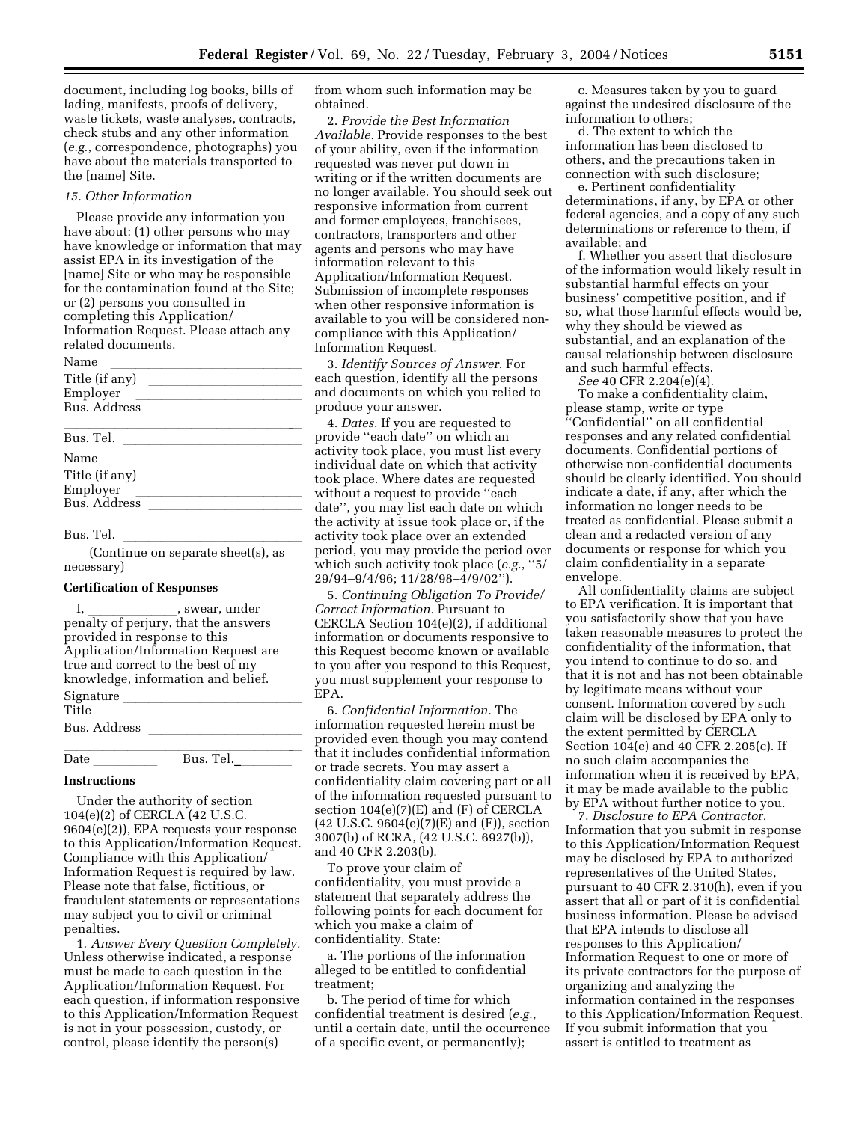document, including log books, bills of lading, manifests, proofs of delivery, waste tickets, waste analyses, contracts, check stubs and any other information (*e.g.*, correspondence, photographs) you have about the materials transported to the [name] Site.

#### *15. Other Information*

Please provide any information you have about: (1) other persons who may have knowledge or information that may assist EPA in its investigation of the [name] Site or who may be responsible for the contamination found at the Site; or (2) persons you consulted in completing this Application/ Information Request. Please attach any related documents.

| Name                |  |
|---------------------|--|
| Title (if any)      |  |
| Employer            |  |
| <b>Bus.</b> Address |  |
|                     |  |
| Bus. Tel.           |  |
| Name                |  |
| Title (if any)      |  |
| Employer            |  |
| Bus. Address        |  |
|                     |  |

#### Bus. Tel.

Bus. Tel. llllllllllllll (Continue on separate sheet(s), as necessary)

### **Certification of Responses**

I, \_\_\_\_\_\_\_\_\_\_\_\_, swear, under<br>penalty of perjury, that the answers provided in response to this Application/Information Request are true and correct to the best of my knowledge, information and belief. Signature \_<br>Title Title<br>Pue Address Bus. Address llllllllllll

lllllllllllllllllll Date lllll Bus. Tel.\_llll

### **Instructions**

Under the authority of section 104(e)(2) of CERCLA (42 U.S.C. 9604(e)(2)), EPA requests your response to this Application/Information Request. Compliance with this Application/ Information Request is required by law. Please note that false, fictitious, or fraudulent statements or representations may subject you to civil or criminal penalties.

1. *Answer Every Question Completely.* Unless otherwise indicated, a response must be made to each question in the Application/Information Request. For each question, if information responsive to this Application/Information Request is not in your possession, custody, or control, please identify the person(s)

from whom such information may be obtained.

2. *Provide the Best Information Available.* Provide responses to the best of your ability, even if the information requested was never put down in writing or if the written documents are no longer available. You should seek out responsive information from current and former employees, franchisees, contractors, transporters and other agents and persons who may have information relevant to this Application/Information Request. Submission of incomplete responses when other responsive information is available to you will be considered noncompliance with this Application/ Information Request.

3. *Identify Sources of Answer.* For each question, identify all the persons and documents on which you relied to produce your answer.

4. *Dates.* If you are requested to provide ''each date'' on which an activity took place, you must list every individual date on which that activity took place. Where dates are requested without a request to provide ''each date'', you may list each date on which the activity at issue took place or, if the activity took place over an extended period, you may provide the period over which such activity took place (*e.g.*, ''5/ 29/94–9/4/96; 11/28/98–4/9/02'').

5. *Continuing Obligation To Provide/ Correct Information.* Pursuant to CERCLA Section 104(e)(2), if additional information or documents responsive to this Request become known or available to you after you respond to this Request, you must supplement your response to EPA.

6. *Confidential Information.* The information requested herein must be provided even though you may contend that it includes confidential information or trade secrets. You may assert a confidentiality claim covering part or all of the information requested pursuant to section 104(e)(7)(E) and (F) of CERCLA (42 U.S.C. 9604(e)(7)(E) and (F)), section 3007(b) of RCRA, (42 U.S.C. 6927(b)), and 40 CFR 2.203(b).

To prove your claim of confidentiality, you must provide a statement that separately address the following points for each document for which you make a claim of confidentiality. State:

a. The portions of the information alleged to be entitled to confidential treatment;

b. The period of time for which confidential treatment is desired (*e.g.*, until a certain date, until the occurrence of a specific event, or permanently);

c. Measures taken by you to guard against the undesired disclosure of the information to others;

d. The extent to which the information has been disclosed to others, and the precautions taken in connection with such disclosure;

e. Pertinent confidentiality determinations, if any, by EPA or other federal agencies, and a copy of any such determinations or reference to them, if available; and

f. Whether you assert that disclosure of the information would likely result in substantial harmful effects on your business' competitive position, and if so, what those harmful effects would be, why they should be viewed as substantial, and an explanation of the causal relationship between disclosure and such harmful effects.

*See* 40 CFR 2.204(e)(4).

To make a confidentiality claim, please stamp, write or type ''Confidential'' on all confidential responses and any related confidential documents. Confidential portions of otherwise non-confidential documents should be clearly identified. You should indicate a date, if any, after which the information no longer needs to be treated as confidential. Please submit a clean and a redacted version of any documents or response for which you claim confidentiality in a separate envelope.

All confidentiality claims are subject to EPA verification. It is important that you satisfactorily show that you have taken reasonable measures to protect the confidentiality of the information, that you intend to continue to do so, and that it is not and has not been obtainable by legitimate means without your consent. Information covered by such claim will be disclosed by EPA only to the extent permitted by CERCLA Section 104(e) and 40 CFR 2.205(c). If no such claim accompanies the information when it is received by EPA, it may be made available to the public by EPA without further notice to you.

7. *Disclosure to EPA Contractor.* Information that you submit in response to this Application/Information Request may be disclosed by EPA to authorized representatives of the United States, pursuant to 40 CFR 2.310(h), even if you assert that all or part of it is confidential business information. Please be advised that EPA intends to disclose all responses to this Application/ Information Request to one or more of its private contractors for the purpose of organizing and analyzing the information contained in the responses to this Application/Information Request. If you submit information that you assert is entitled to treatment as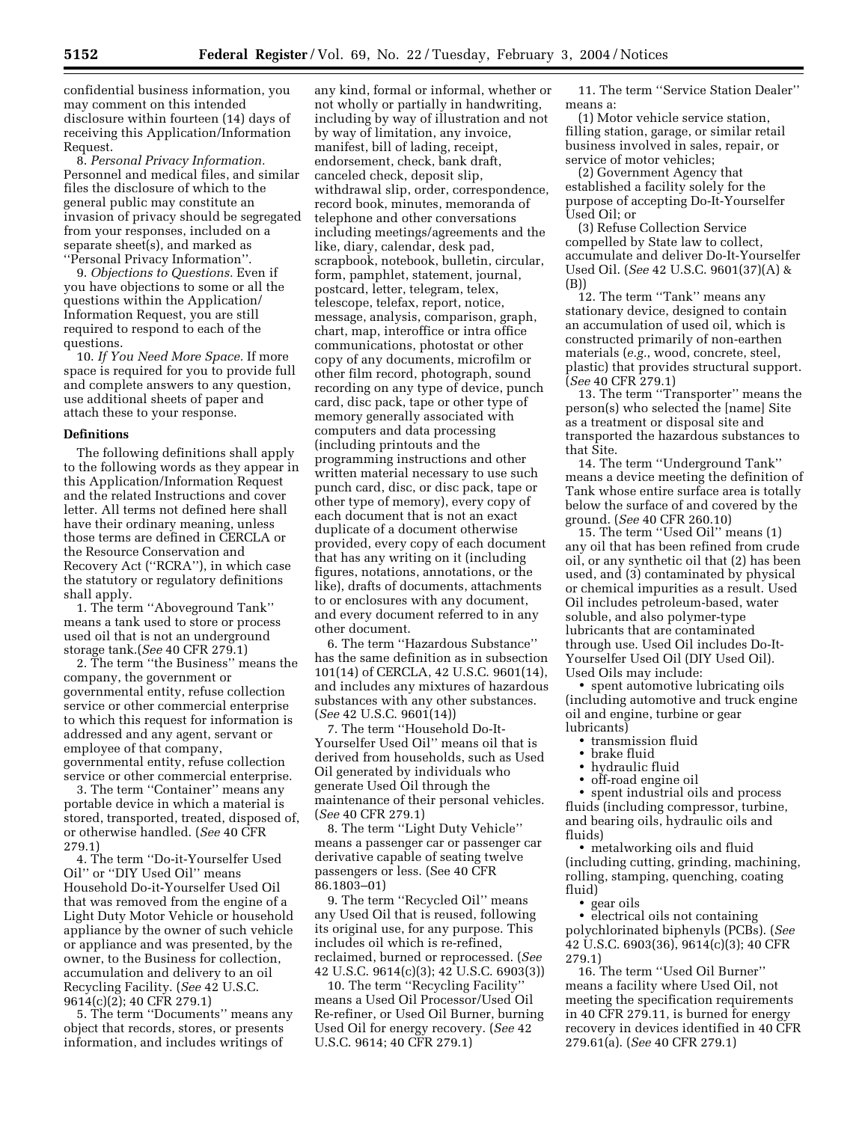confidential business information, you may comment on this intended disclosure within fourteen (14) days of receiving this Application/Information Request.

8. *Personal Privacy Information.* Personnel and medical files, and similar files the disclosure of which to the general public may constitute an invasion of privacy should be segregated from your responses, included on a separate sheet(s), and marked as ''Personal Privacy Information''.

9. *Objections to Questions.* Even if you have objections to some or all the questions within the Application/ Information Request, you are still required to respond to each of the questions.

10. *If You Need More Space.* If more space is required for you to provide full and complete answers to any question, use additional sheets of paper and attach these to your response.

### **Definitions**

The following definitions shall apply to the following words as they appear in this Application/Information Request and the related Instructions and cover letter. All terms not defined here shall have their ordinary meaning, unless those terms are defined in CERCLA or the Resource Conservation and Recovery Act (''RCRA''), in which case the statutory or regulatory definitions shall apply.

1. The term ''Aboveground Tank'' means a tank used to store or process used oil that is not an underground storage tank.(*See* 40 CFR 279.1)

2. The term ''the Business'' means the company, the government or governmental entity, refuse collection service or other commercial enterprise to which this request for information is addressed and any agent, servant or employee of that company, governmental entity, refuse collection service or other commercial enterprise.

3. The term ''Container'' means any portable device in which a material is stored, transported, treated, disposed of, or otherwise handled. (*See* 40 CFR 279.1)

4. The term ''Do-it-Yourselfer Used Oil'' or ''DIY Used Oil'' means Household Do-it-Yourselfer Used Oil that was removed from the engine of a Light Duty Motor Vehicle or household appliance by the owner of such vehicle or appliance and was presented, by the owner, to the Business for collection, accumulation and delivery to an oil Recycling Facility. (*See* 42 U.S.C. 9614(c)(2); 40 CFR 279.1)

5. The term ''Documents'' means any object that records, stores, or presents information, and includes writings of

any kind, formal or informal, whether or not wholly or partially in handwriting, including by way of illustration and not by way of limitation, any invoice, manifest, bill of lading, receipt, endorsement, check, bank draft, canceled check, deposit slip, withdrawal slip, order, correspondence, record book, minutes, memoranda of telephone and other conversations including meetings/agreements and the like, diary, calendar, desk pad, scrapbook, notebook, bulletin, circular, form, pamphlet, statement, journal, postcard, letter, telegram, telex, telescope, telefax, report, notice, message, analysis, comparison, graph, chart, map, interoffice or intra office communications, photostat or other copy of any documents, microfilm or other film record, photograph, sound recording on any type of device, punch card, disc pack, tape or other type of memory generally associated with computers and data processing (including printouts and the programming instructions and other written material necessary to use such punch card, disc, or disc pack, tape or other type of memory), every copy of each document that is not an exact duplicate of a document otherwise provided, every copy of each document that has any writing on it (including figures, notations, annotations, or the like), drafts of documents, attachments to or enclosures with any document, and every document referred to in any other document.

6. The term ''Hazardous Substance'' has the same definition as in subsection 101(14) of CERCLA, 42 U.S.C. 9601(14), and includes any mixtures of hazardous substances with any other substances. (*See* 42 U.S.C. 9601(14))

7. The term ''Household Do-It-Yourselfer Used Oil'' means oil that is derived from households, such as Used Oil generated by individuals who generate Used Oil through the maintenance of their personal vehicles. (*See* 40 CFR 279.1)

8. The term ''Light Duty Vehicle'' means a passenger car or passenger car derivative capable of seating twelve passengers or less. (See 40 CFR 86.1803–01)

9. The term ''Recycled Oil'' means any Used Oil that is reused, following its original use, for any purpose. This includes oil which is re-refined, reclaimed, burned or reprocessed. (*See* 42 U.S.C. 9614(c)(3); 42 U.S.C. 6903(3))

10. The term ''Recycling Facility'' means a Used Oil Processor/Used Oil Re-refiner, or Used Oil Burner, burning Used Oil for energy recovery. (*See* 42 U.S.C. 9614; 40 CFR 279.1)

11. The term ''Service Station Dealer'' means a:

(1) Motor vehicle service station, filling station, garage, or similar retail business involved in sales, repair, or service of motor vehicles;

(2) Government Agency that established a facility solely for the purpose of accepting Do-It-Yourselfer Used Oil; or

(3) Refuse Collection Service compelled by State law to collect, accumulate and deliver Do-It-Yourselfer Used Oil. (*See* 42 U.S.C. 9601(37)(A) & (B))

12. The term ''Tank'' means any stationary device, designed to contain an accumulation of used oil, which is constructed primarily of non-earthen materials (*e.g.*, wood, concrete, steel, plastic) that provides structural support. (*See* 40 CFR 279.1)

13. The term ''Transporter'' means the person(s) who selected the [name] Site as a treatment or disposal site and transported the hazardous substances to that Site.

14. The term ''Underground Tank'' means a device meeting the definition of Tank whose entire surface area is totally below the surface of and covered by the ground. (*See* 40 CFR 260.10)

15. The term ''Used Oil'' means (1) any oil that has been refined from crude oil, or any synthetic oil that (2) has been used, and (3) contaminated by physical or chemical impurities as a result. Used Oil includes petroleum-based, water soluble, and also polymer-type lubricants that are contaminated through use. Used Oil includes Do-It-Yourselfer Used Oil (DIY Used Oil). Used Oils may include:

• spent automotive lubricating oils (including automotive and truck engine oil and engine, turbine or gear lubricants)

- transmission fluid
- brake fluid
- hydraulic fluid
- off-road engine oil

• spent industrial oils and process fluids (including compressor, turbine, and bearing oils, hydraulic oils and fluids)

• metalworking oils and fluid (including cutting, grinding, machining, rolling, stamping, quenching, coating fluid)

• gear oils

• electrical oils not containing polychlorinated biphenyls (PCBs). (*See* 42 U.S.C. 6903(36), 9614(c)(3); 40 CFR 279.1)

16. The term ''Used Oil Burner'' means a facility where Used Oil, not meeting the specification requirements in 40 CFR 279.11, is burned for energy recovery in devices identified in 40 CFR 279.61(a). (*See* 40 CFR 279.1)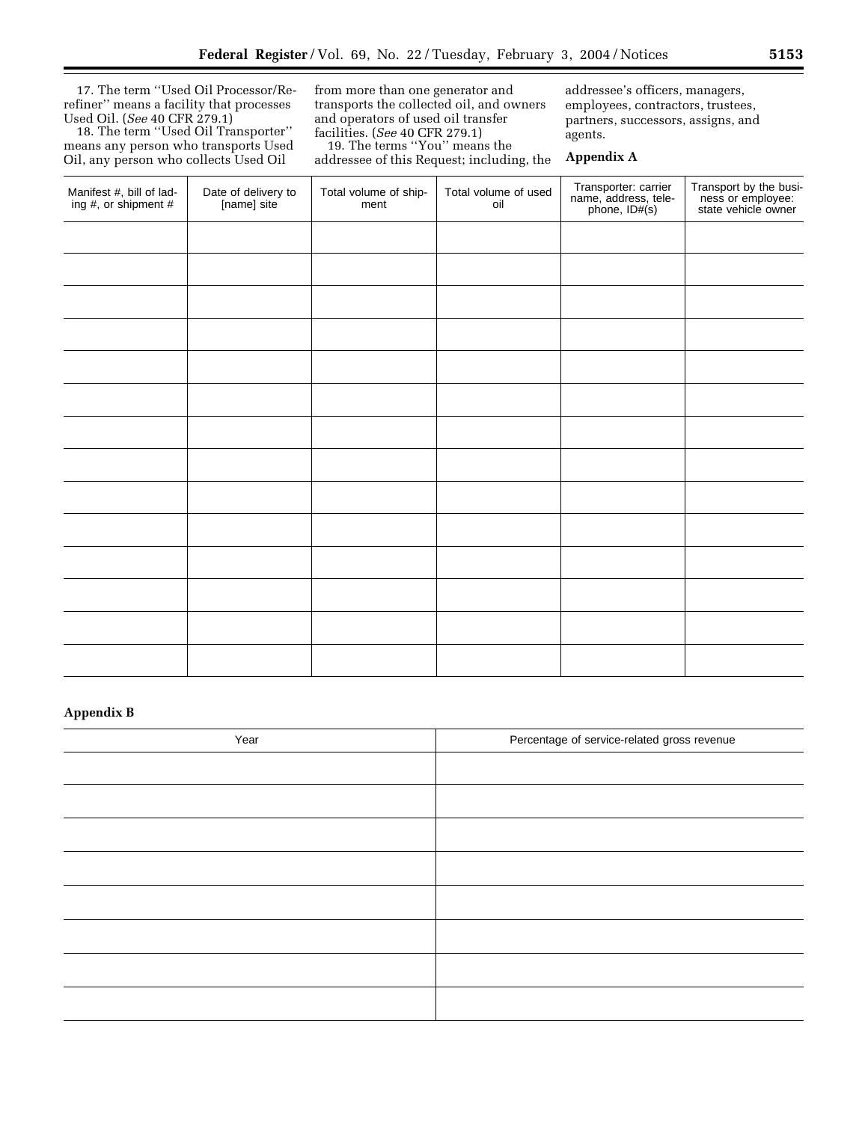17. The term ''Used Oil Processor/Rerefiner'' means a facility that processes Used Oil. (*See* 40 CFR 279.1)

18. The term ''Used Oil Transporter'' means any person who transports Used Oil, any person who collects Used Oil

from more than one generator and transports the collected oil, and owners and operators of used oil transfer facilities. (*See* 40 CFR 279.1)

19. The terms ''You'' means the addressee of this Request; including, the addressee's officers, managers, employees, contractors, trustees, partners, successors, assigns, and agents.

## **Appendix A**

| Manifest #, bill of lading #, or shipment # | Date of delivery to<br>[name] site | Total volume of ship-<br>ment | Total volume of used<br>oil | Transporter: carrier<br>name, address, tele-<br>phone, ID#(s) | Transport by the business or employee:<br>state vehicle owner |
|---------------------------------------------|------------------------------------|-------------------------------|-----------------------------|---------------------------------------------------------------|---------------------------------------------------------------|
|                                             |                                    |                               |                             |                                                               |                                                               |
|                                             |                                    |                               |                             |                                                               |                                                               |
|                                             |                                    |                               |                             |                                                               |                                                               |
|                                             |                                    |                               |                             |                                                               |                                                               |
|                                             |                                    |                               |                             |                                                               |                                                               |
|                                             |                                    |                               |                             |                                                               |                                                               |
|                                             |                                    |                               |                             |                                                               |                                                               |
|                                             |                                    |                               |                             |                                                               |                                                               |
|                                             |                                    |                               |                             |                                                               |                                                               |
|                                             |                                    |                               |                             |                                                               |                                                               |
|                                             |                                    |                               |                             |                                                               |                                                               |
|                                             |                                    |                               |                             |                                                               |                                                               |
|                                             |                                    |                               |                             |                                                               |                                                               |
|                                             |                                    |                               |                             |                                                               |                                                               |

## **Appendix B**

| Year | Percentage of service-related gross revenue |
|------|---------------------------------------------|
|      |                                             |
|      |                                             |
|      |                                             |
|      |                                             |
|      |                                             |
|      |                                             |
|      |                                             |
|      |                                             |

Ξ